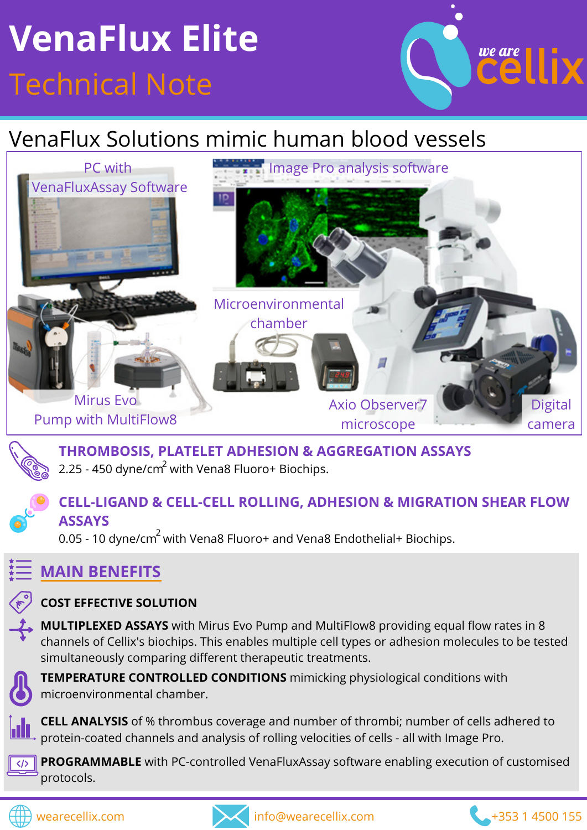# **VenaFlux Elite** Technical Note



# VenaFlux Solutions mimic human blood vessels



**THROMBOSIS, PLATELET ADHESION & AGGREGATION ASSAYS**

2.25 - 450 dyne/cm<sup>2</sup> with Vena8 Fluoro+ Biochips.

## **CELL-LIGAND & CELL-CELL ROLLING, ADHESION & MIGRATION SHEAR FLOW ASSAYS**

0.05 - 10 dyne/cm<sup>2</sup> with Vena8 Fluoro+ and Vena8 Endothelial+ Biochips.

# **MAIN BENEFITS**

#### **COST EFFECTIVE SOLUTION**

**MULTIPLEXED ASSAYS** with Mirus Evo Pump and MultiFlow8 providing equal flow rates in 8 channels of Cellix's biochips. This enables multiple cell types or adhesion molecules to be tested simultaneously comparing different therapeutic treatments.



**TEMPERATURE CONTROLLED CONDITIONS** mimicking physiological conditions with microenvironmental chamber.

**CELL ANALYSIS** of % thrombus coverage and number of thrombi; number of cells adhered to protein-coated channels and analysis of rolling velocities of cells - all with Image Pro.

**PROGRAMMABLE** with PC-controlled VenaFluxAssay software enabling execution of customised protocols.





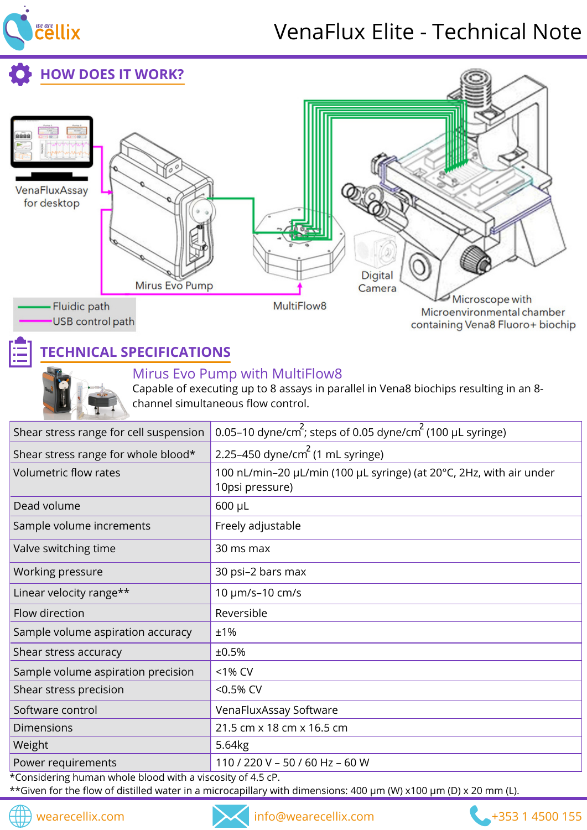

# VenaFlux Elite - Technical Note

## **HOW DOES IT WORK?**



#### **TECHNICAL SPECIFICATIONS**

#### Mirus Evo Pump with MultiFlow8

Capable of executing up to 8 assays in parallel in Vena8 biochips resulting in an 8 channel simultaneous flow control.

| Shear stress range for cell suspension | 0.05–10 dyne/cm <sup>2</sup> ; steps of 0.05 dyne/cm <sup>2</sup> (100 µL syringe)     |
|----------------------------------------|----------------------------------------------------------------------------------------|
| Shear stress range for whole blood*    | 2.25-450 dyne/cm <sup>2</sup> (1 mL syringe)                                           |
| <b>Volumetric flow rates</b>           | 100 nL/min-20 µL/min (100 µL syringe) (at 20°C, 2Hz, with air under<br>10psi pressure) |
| Dead volume                            | $600 \mu L$                                                                            |
| Sample volume increments               | Freely adjustable                                                                      |
| Valve switching time                   | 30 ms max                                                                              |
| Working pressure                       | 30 psi-2 bars max                                                                      |
| Linear velocity range**                | 10 µm/s-10 cm/s                                                                        |
| Flow direction                         | Reversible                                                                             |
| Sample volume aspiration accuracy      | ±1%                                                                                    |
| Shear stress accuracy                  | ±0.5%                                                                                  |
| Sample volume aspiration precision     | <1% CV                                                                                 |
| Shear stress precision                 | <0.5% CV                                                                               |
| Software control                       | VenaFluxAssay Software                                                                 |
| <b>Dimensions</b>                      | 21.5 cm x 18 cm x 16.5 cm                                                              |
| Weight                                 | 5.64kg                                                                                 |
| Power requirements                     | 110 / 220 V - 50 / 60 Hz - 60 W                                                        |
|                                        |                                                                                        |

\*Considering human whole blood with a viscosity of 4.5 cP.

\*\*Given for the flow of distilled water in a microcapillary with dimensions: 400 µm (W) x100 µm (D) x 20 mm (L).





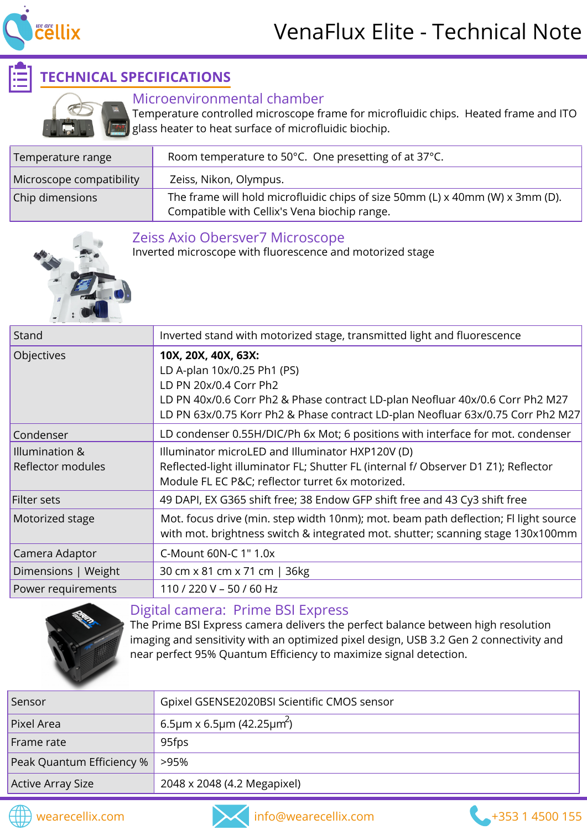

### **TECHNICAL SPECIFICATIONS**



#### Microenvironmental chamber

Temperature controlled microscope frame for microfluidic chips. Heated frame and ITO  $\vert$  glass heater to heat surface of microfluidic biochip.

| Temperature range        | Room temperature to 50°C. One presetting of at 37°C.                                                                          |
|--------------------------|-------------------------------------------------------------------------------------------------------------------------------|
| Microscope compatibility | Zeiss, Nikon, Olympus.                                                                                                        |
| Chip dimensions          | The frame will hold microfluidic chips of size 50mm (L) x 40mm (W) x 3mm (D).<br>Compatible with Cellix's Vena biochip range. |



Inverted microscope with fluorescence and motorized stage



| Stand                               | Inverted stand with motorized stage, transmitted light and fluorescence                                                                                                                                                                          |  |  |
|-------------------------------------|--------------------------------------------------------------------------------------------------------------------------------------------------------------------------------------------------------------------------------------------------|--|--|
| Objectives                          | 10X, 20X, 40X, 63X:<br>LD A-plan 10x/0.25 Ph1 (PS)<br>LD PN 20x/0.4 Corr Ph2<br>LD PN 40x/0.6 Corr Ph2 & Phase contract LD-plan Neofluar 40x/0.6 Corr Ph2 M27<br>LD PN 63x/0.75 Korr Ph2 & Phase contract LD-plan Neofluar 63x/0.75 Corr Ph2 M27 |  |  |
| Condenser                           | LD condenser 0.55H/DIC/Ph 6x Mot; 6 positions with interface for mot. condenser                                                                                                                                                                  |  |  |
| Illumination &<br>Reflector modules | Illuminator microLED and Illuminator HXP120V (D)<br>Reflected-light illuminator FL; Shutter FL (internal f/ Observer D1 Z1); Reflector<br>Module FL EC P&C reflector turret 6x motorized.                                                        |  |  |
| Filter sets                         | 49 DAPI, EX G365 shift free; 38 Endow GFP shift free and 43 Cy3 shift free                                                                                                                                                                       |  |  |
| Motorized stage                     | Mot. focus drive (min. step width 10nm); mot. beam path deflection; Fl light source<br>with mot. brightness switch & integrated mot. shutter; scanning stage 130x100mm                                                                           |  |  |
| Camera Adaptor                      | C-Mount 60N-C 1" 1.0x                                                                                                                                                                                                                            |  |  |
| Dimensions   Weight                 | 30 cm x 81 cm x 71 cm   36kg                                                                                                                                                                                                                     |  |  |
| Power requirements                  | 110 / 220 V - 50 / 60 Hz                                                                                                                                                                                                                         |  |  |



#### Digital camera: Prime BSI Express

The Prime BSI Express camera delivers the perfect balance between high resolution imaging and sensitivity with an optimized pixel design, USB 3.2 Gen 2 connectivity and near perfect 95% Quantum Efficiency to maximize signal detection.

| Sensor                    | Gpixel GSENSE2020BSI Scientific CMOS sensor |
|---------------------------|---------------------------------------------|
| Pixel Area                | 6.5µm x 6.5µm (42.25µm $\acute{}$ )         |
| Frame rate                | 95fps                                       |
| Peak Quantum Efficiency % | >95%                                        |
| <b>Active Array Size</b>  | 2048 x 2048 (4.2 Megapixel)                 |